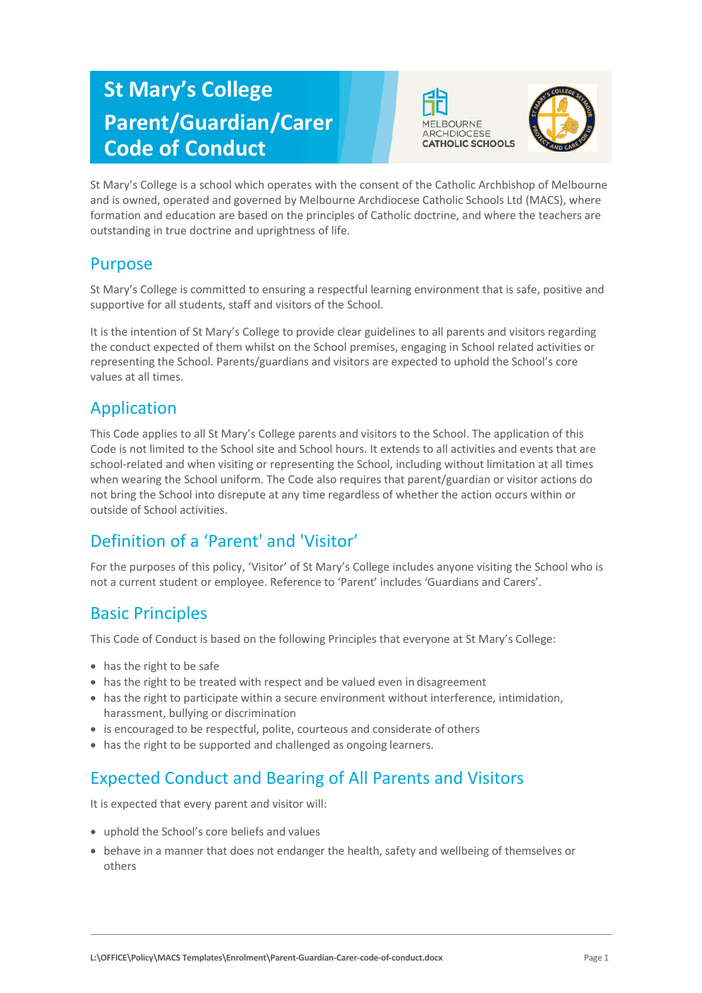# **St Mary's College Parent/Guardian/Carer Code of Conduct**





St Mary's College is a school which operates with the consent of the Catholic Archbishop of Melbourne and is owned, operated and governed by Melbourne Archdiocese Catholic Schools Ltd (MACS), where formation and education are based on the principles of Catholic doctrine, and where the teachers are outstanding in true doctrine and uprightness of life.

#### Purpose

St Mary's College is committed to ensuring a respectful learning environment that is safe, positive and supportive for all students, staff and visitors of the School.

It is the intention of St Mary's College to provide clear guidelines to all parents and visitors regarding the conduct expected of them whilst on the School premises, engaging in School related activities or representing the School. Parents/guardians and visitors are expected to uphold the School's core values at all times.

### Application

This Code applies to all St Mary's College parents and visitors to the School. The application of this Code is not limited to the School site and School hours. It extends to all activities and events that are school-related and when visiting or representing the School, including without limitation at all times when wearing the School uniform. The Code also requires that parent/guardian or visitor actions do not bring the School into disrepute at any time regardless of whether the action occurs within or outside of School activities.

## Definition of a 'Parent' and 'Visitor'

For the purposes of this policy, 'Visitor' of St Mary's College includes anyone visiting the School who is not a current student or employee. Reference to 'Parent' includes 'Guardians and Carers'.

### Basic Principles

This Code of Conduct is based on the following Principles that everyone at St Mary's College:

- has the right to be safe
- has the right to be treated with respect and be valued even in disagreement
- has the right to participate within a secure environment without interference, intimidation, harassment, bullying or discrimination
- is encouraged to be respectful, polite, courteous and considerate of others
- has the right to be supported and challenged as ongoing learners.

## Expected Conduct and Bearing of All Parents and Visitors

It is expected that every parent and visitor will:

- uphold the School's core beliefs and values
- behave in a manner that does not endanger the health, safety and wellbeing of themselves or others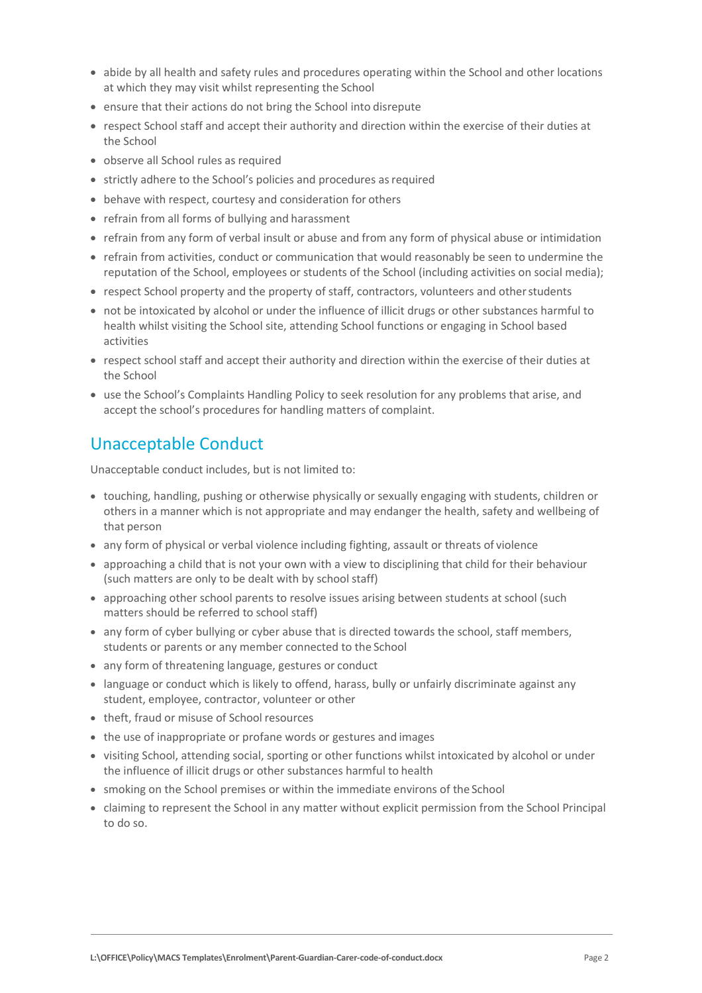- abide by all health and safety rules and procedures operating within the School and other locations at which they may visit whilst representing the School
- ensure that their actions do not bring the School into disrepute
- respect School staff and accept their authority and direction within the exercise of their duties at the School
- observe all School rules as required
- strictly adhere to the School's policies and procedures as required
- behave with respect, courtesy and consideration for others
- refrain from all forms of bullying and harassment
- refrain from any form of verbal insult or abuse and from any form of physical abuse or intimidation
- refrain from activities, conduct or communication that would reasonably be seen to undermine the reputation of the School, employees or students of the School (including activities on social media);
- respect School property and the property of staff, contractors, volunteers and other students
- not be intoxicated by alcohol or under the influence of illicit drugs or other substances harmful to health whilst visiting the School site, attending School functions or engaging in School based activities
- respect school staff and accept their authority and direction within the exercise of their duties at the School
- use the School's Complaints Handling Policy to seek resolution for any problems that arise, and accept the school's procedures for handling matters of complaint.

### Unacceptable Conduct

Unacceptable conduct includes, but is not limited to:

- touching, handling, pushing or otherwise physically or sexually engaging with students, children or others in a manner which is not appropriate and may endanger the health, safety and wellbeing of that person
- any form of physical or verbal violence including fighting, assault or threats of violence
- approaching a child that is not your own with a view to disciplining that child for their behaviour (such matters are only to be dealt with by school staff)
- approaching other school parents to resolve issues arising between students at school (such matters should be referred to school staff)
- any form of cyber bullying or cyber abuse that is directed towards the school, staff members, students or parents or any member connected to the School
- any form of threatening language, gestures or conduct
- language or conduct which is likely to offend, harass, bully or unfairly discriminate against any student, employee, contractor, volunteer or other
- theft, fraud or misuse of School resources
- the use of inappropriate or profane words or gestures and images
- visiting School, attending social, sporting or other functions whilst intoxicated by alcohol or under the influence of illicit drugs or other substances harmful to health
- smoking on the School premises or within the immediate environs of the School
- claiming to represent the School in any matter without explicit permission from the School Principal to do so.